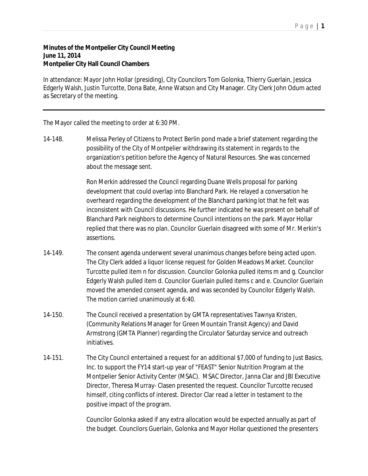## **Minutes of the Montpelier City Council Meeting June 11, 2014 Montpelier City Hall Council Chambers**

In attendance: Mayor John Hollar (presiding), City Councilors Tom Golonka, Thierry Guerlain, Jessica Edgerly Walsh, Justin Turcotte, Dona Bate, Anne Watson and City Manager. City Clerk John Odum acted as Secretary of the meeting.

The Mayor called the meeting to order at 6:30 PM.

14-148. Melissa Perley of Citizens to Protect Berlin pond made a brief statement regarding the possibility of the City of Montpelier withdrawing its statement in regards to the organization's petition before the Agency of Natural Resources. She was concerned about the message sent.

> Ron Merkin addressed the Council regarding Duane Wells proposal for parking development that could overlap into Blanchard Park. He relayed a conversation he overheard regarding the development of the Blanchard parking lot that he felt was inconsistent with Council discussions. He further indicated he was present on behalf of Blanchard Park neighbors to determine Council intentions on the park. Mayor Hollar replied that there was no plan. Councilor Guerlain disagreed with some of Mr. Merkin's assertions.

- 14-149. The consent agenda underwent several unanimous changes before being acted upon. The City Clerk added a liquor license request for Golden Meadows Market. Councilor Turcotte pulled item n for discussion. Councilor Golonka pulled items m and g. Councilor Edgerly Walsh pulled item d. Councilor Guerlain pulled items c and e. Councilor Guerlain moved the amended consent agenda, and was seconded by Councilor Edgerly Walsh. The motion carried unanimously at 6:40.
- 14-150. The Council received a presentation by GMTA representatives Tawnya Kristen, (Community Relations Manager for Green Mountain Transit Agency) and David Armstrong (GMTA Planner) regarding the Circulator Saturday service and outreach initiatives.
- 14-151. The City Council entertained a request for an additional \$7,000 of funding to Just Basics, Inc. to support the FY14 start-up year of "FEAST" Senior Nutrition Program at the Montpelier Senior Activity Center (MSAC). MSAC Director, Janna Clar and JBI Executive Director, Theresa Murray- Clasen presented the request. Councilor Turcotte recused himself, citing conflicts of interest. Director Clar read a letter in testament to the positive impact of the program.

Councilor Golonka asked if any extra allocation would be expected annually as part of the budget. Councilors Guerlain, Golonka and Mayor Hollar questioned the presenters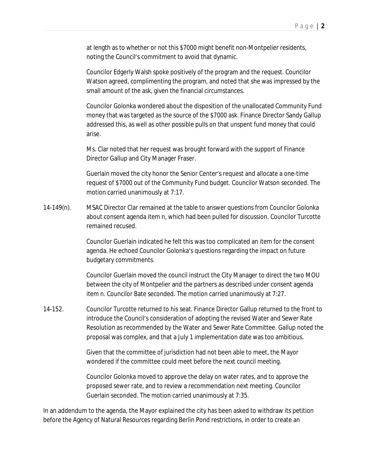at length as to whether or not this \$7000 might benefit non-Montpelier residents, noting the Council's commitment to avoid that dynamic.

Councilor Edgerly Walsh spoke positively of the program and the request. Councilor Watson agreed, complimenting the program, and noted that she was impressed by the small amount of the ask, given the financial circumstances.

Councilor Golonka wondered about the disposition of the unallocated Community Fund money that was targeted as the source of the \$7000 ask. Finance Director Sandy Gallup addressed this, as well as other possible pulls on that unspent fund money that could arise.

Ms. Clar noted that her request was brought forward with the support of Finance Director Gallup and City Manager Fraser.

Guerlain moved the city honor the Senior Center's request and allocate a one-time request of \$7000 out of the Community Fund budget. Councilor Watson seconded. The motion carried unanimously at 7:17.

14-149(n). MSAC Director Clar remained at the table to answer questions from Councilor Golonka about consent agenda item n, which had been pulled for discussion. Councilor Turcotte remained recused.

> Councilor Guerlain indicated he felt this was too complicated an item for the consent agenda. He echoed Councilor Golonka's questions regarding the impact on future budgetary commitments.

Councilor Guerlain moved the council instruct the City Manager to direct the two MOU between the city of Montpelier and the partners as described under consent agenda item n. Councilor Bate seconded. The motion carried unanimously at 7:27.

14-152. Councilor Turcotte returned to his seat. Finance Director Gallup returned to the front to introduce the Council's consideration of adopting the revised Water and Sewer Rate Resolution as recommended by the Water and Sewer Rate Committee. Gallup noted the proposal was complex, and that a July 1 implementation date was too ambitious.

> Given that the committee of jurisdiction had not been able to meet, the Mayor wondered if the committee could meet before the next council meeting.

Councilor Golonka moved to approve the delay on water rates, and to approve the proposed sewer rate, and to review a recommendation next meeting. Councilor Guerlain seconded. The motion carried unanimously at 7:35.

In an addendum to the agenda, the Mayor explained the city has been asked to withdraw its petition before the Agency of Natural Resources regarding Berlin Pond restrictions, in order to create an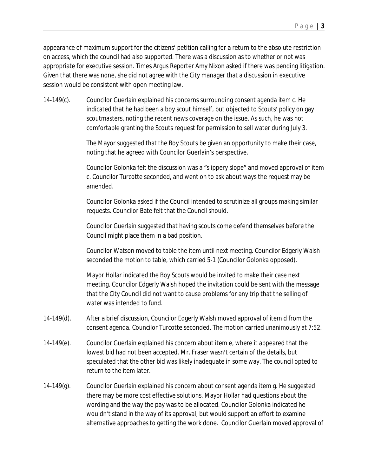appearance of maximum support for the citizens' petition calling for a return to the absolute restriction on access, which the council had also supported. There was a discussion as to whether or not was appropriate for executive session. Times Argus Reporter Amy Nixon asked if there was pending litigation. Given that there was none, she did not agree with the City manager that a discussion in executive session would be consistent with open meeting law.

14-149(c). Councilor Guerlain explained his concerns surrounding consent agenda item c. He indicated that he had been a boy scout himself, but objected to Scouts' policy on gay scoutmasters, noting the recent news coverage on the issue. As such, he was not comfortable granting the Scouts request for permission to sell water during July 3.

> The Mayor suggested that the Boy Scouts be given an opportunity to make their case, noting that he agreed with Councilor Guerlain's perspective.

Councilor Golonka felt the discussion was a "slippery slope" and moved approval of item c. Councilor Turcotte seconded, and went on to ask about ways the request may be amended.

Councilor Golonka asked if the Council intended to scrutinize all groups making similar requests. Councilor Bate felt that the Council should.

Councilor Guerlain suggested that having scouts come defend themselves before the Council might place them in a bad position.

Councilor Watson moved to table the item until next meeting. Councilor Edgerly Walsh seconded the motion to table, which carried 5-1 (Councilor Golonka opposed).

Mayor Hollar indicated the Boy Scouts would be invited to make their case next meeting. Councilor Edgerly Walsh hoped the invitation could be sent with the message that the City Council did not want to cause problems for any trip that the selling of water was intended to fund.

- 14-149(d). After a brief discussion, Councilor Edgerly Walsh moved approval of item d from the consent agenda. Councilor Turcotte seconded. The motion carried unanimously at 7:52.
- 14-149(e). Councilor Guerlain explained his concern about item e, where it appeared that the lowest bid had not been accepted. Mr. Fraser wasn't certain of the details, but speculated that the other bid was likely inadequate in some way. The council opted to return to the item later.
- 14-149(g). Councilor Guerlain explained his concern about consent agenda item g. He suggested there may be more cost effective solutions. Mayor Hollar had questions about the wording and the way the pay was to be allocated. Councilor Golonka indicated he wouldn't stand in the way of its approval, but would support an effort to examine alternative approaches to getting the work done. Councilor Guerlain moved approval of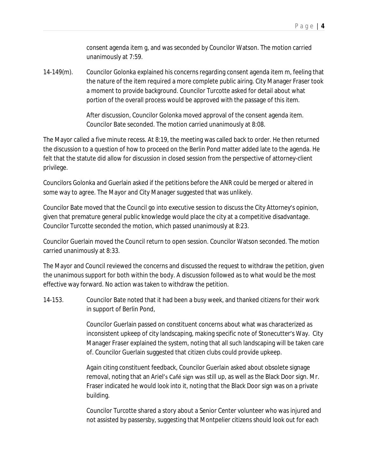consent agenda item g, and was seconded by Councilor Watson. The motion carried unanimously at 7:59.

14-149(m). Councilor Golonka explained his concerns regarding consent agenda item m, feeling that the nature of the item required a more complete public airing. City Manager Fraser took a moment to provide background. Councilor Turcotte asked for detail about what portion of the overall process would be approved with the passage of this item.

> After discussion, Councilor Golonka moved approval of the consent agenda item. Councilor Bate seconded. The motion carried unanimously at 8:08.

The Mayor called a five minute recess. At 8:19, the meeting was called back to order. He then returned the discussion to a question of how to proceed on the Berlin Pond matter added late to the agenda. He felt that the statute did allow for discussion in closed session from the perspective of attorney-client privilege.

Councilors Golonka and Guerlain asked if the petitions before the ANR could be merged or altered in some way to agree. The Mayor and City Manager suggested that was unlikely.

Councilor Bate moved that the Council go into executive session to discuss the City Attorney's opinion, given that premature general public knowledge would place the city at a competitive disadvantage. Councilor Turcotte seconded the motion, which passed unanimously at 8:23.

Councilor Guerlain moved the Council return to open session. Councilor Watson seconded. The motion carried unanimously at 8:33.

The Mayor and Council reviewed the concerns and discussed the request to withdraw the petition, given the unanimous support for both within the body. A discussion followed as to what would be the most effective way forward. No action was taken to withdraw the petition.

14-153. Councilor Bate noted that it had been a busy week, and thanked citizens for their work in support of Berlin Pond,

> Councilor Guerlain passed on constituent concerns about what was characterized as inconsistent upkeep of city landscaping, making specific note of Stonecutter's Way. City Manager Fraser explained the system, noting that all such landscaping will be taken care of. Councilor Guerlain suggested that citizen clubs could provide upkeep.

Again citing constituent feedback, Councilor Guerlain asked about obsolete signage removal, noting that an Ariel's Café sign was still up, as well as the Black Door sign. Mr. Fraser indicated he would look into it, noting that the Black Door sign was on a private building.

Councilor Turcotte shared a story about a Senior Center volunteer who was injured and not assisted by passersby, suggesting that Montpelier citizens should look out for each